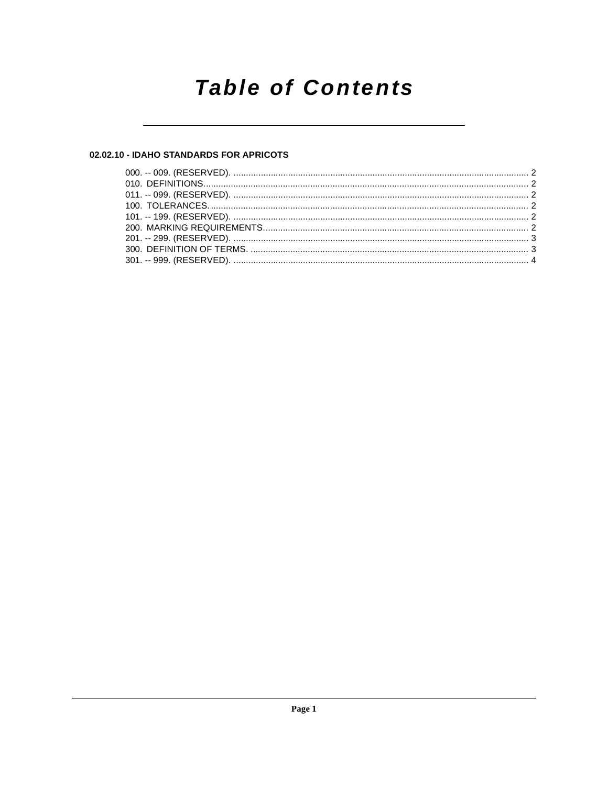# **Table of Contents**

# 02.02.10 - IDAHO STANDARDS FOR APRICOTS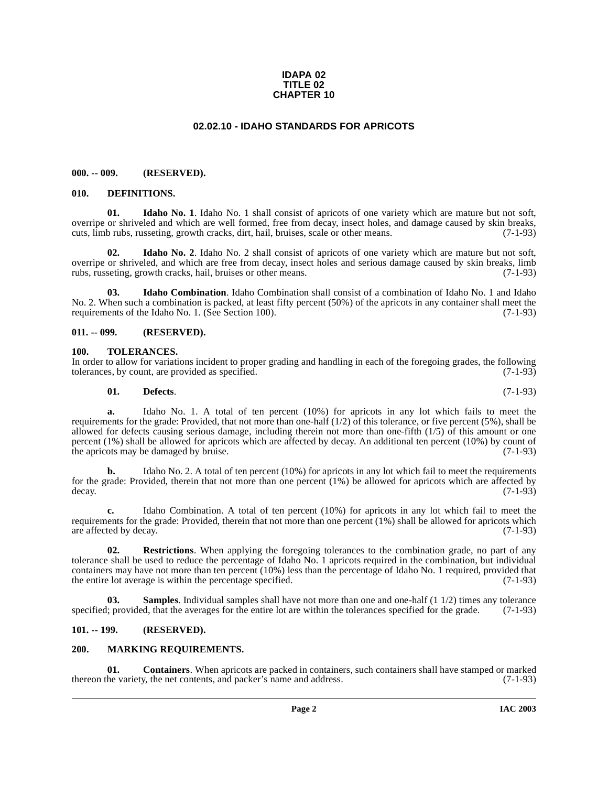#### **IDAPA 02 TITLE 02 CHAPTER 10**

# **02.02.10 - IDAHO STANDARDS FOR APRICOTS**

#### <span id="page-1-1"></span><span id="page-1-0"></span>**000. -- 009. (RESERVED).**

#### <span id="page-1-9"></span><span id="page-1-2"></span>**010. DEFINITIONS.**

<span id="page-1-11"></span>**01. Idaho No. 1**. Idaho No. 1 shall consist of apricots of one variety which are mature but not soft, overripe or shriveled and which are well formed, free from decay, insect holes, and damage caused by skin breaks, cuts, limb rubs, russeting, growth cracks, dirt, hail, bruises, scale or other means. (7-1-93)

<span id="page-1-12"></span>**02. Idaho No. 2**. Idaho No. 2 shall consist of apricots of one variety which are mature but not soft, overripe or shriveled, and which are free from decay, insect holes and serious damage caused by skin breaks, limb rubs, russeting, growth cracks, hail, bruises or other means. (7-1-93) rubs, russeting, growth cracks, hail, bruises or other means.

<span id="page-1-10"></span>**03. Idaho Combination**. Idaho Combination shall consist of a combination of Idaho No. 1 and Idaho No. 2. When such a combination is packed, at least fifty percent (50%) of the apricots in any container shall meet the requirements of the Idaho No. 1. (See Section 100). (7-1-93) requirements of the Idaho No. 1. (See Section 100).

#### <span id="page-1-3"></span>**011. -- 099. (RESERVED).**

#### <span id="page-1-16"></span><span id="page-1-4"></span>**100. TOLERANCES.**

In order to allow for variations incident to proper grading and handling in each of the foregoing grades, the following tolerances, by count, are provided as specified. (7-1-93) tolerances, by count, are provided as specified.

<span id="page-1-8"></span>
$$
01. \qquad \textbf{Defects.} \tag{7-1-93}
$$

**a.** Idaho No. 1. A total of ten percent (10%) for apricots in any lot which fails to meet the requirements for the grade: Provided, that not more than one-half  $(1/2)$  of this tolerance, or five percent (5%), shall be allowed for defects causing serious damage, including therein not more than one-fifth (1/5) of this amount or one percent (1%) shall be allowed for apricots which are affected by decay. An additional ten percent (10%) by count of the apricots may be damaged by bruise  $(7-1-93)$ the apricots may be damaged by bruise.

**b.** Idaho No. 2. A total of ten percent (10%) for apricots in any lot which fail to meet the requirements for the grade: Provided, therein that not more than one percent  $(1%)$  be allowed for apricots which are affected by decay.  $(7-1-93)$ decay. (7-1-93)

**c.** Idaho Combination. A total of ten percent (10%) for apricots in any lot which fail to meet the requirements for the grade: Provided, therein that not more than one percent (1%) shall be allowed for apricots which are affected by decay. (7-1-93) are affected by decay.

<span id="page-1-14"></span>**02. Restrictions**. When applying the foregoing tolerances to the combination grade, no part of any tolerance shall be used to reduce the percentage of Idaho No. 1 apricots required in the combination, but individual containers may have not more than ten percent (10%) less than the percentage of Idaho No. 1 required, provided that the entire lot average is within the percentage specified. (7-1-93)

<span id="page-1-15"></span>**03. Samples**. Individual samples shall have not more than one and one-half (1 1/2) times any tolerance specified; provided, that the averages for the entire lot are within the tolerances specified for the grade. (7-1-93)

## <span id="page-1-5"></span>**101. -- 199. (RESERVED).**

#### <span id="page-1-13"></span><span id="page-1-6"></span>**200. MARKING REQUIREMENTS.**

<span id="page-1-7"></span>**01. Containers**. When apricots are packed in containers, such containers shall have stamped or marked thereon the variety, the net contents, and packer's name and address. (7-1-93)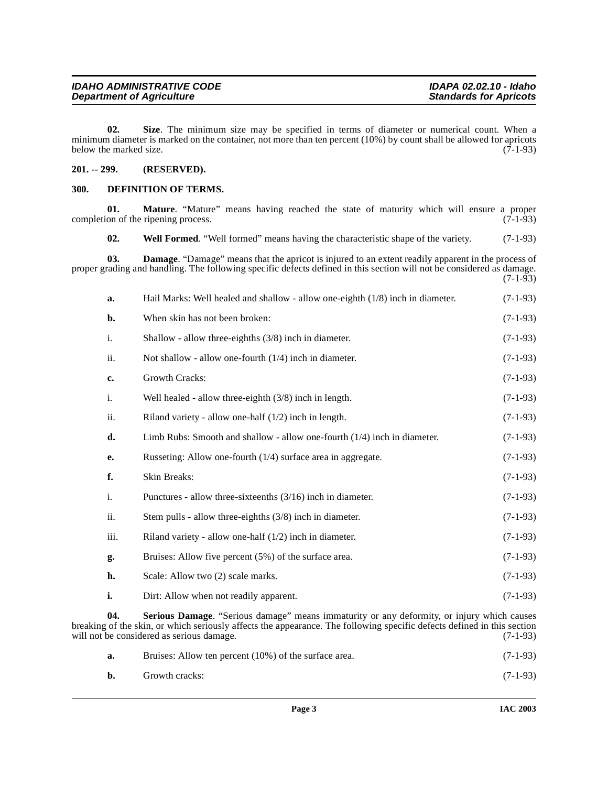<span id="page-2-6"></span>**02. Size**. The minimum size may be specified in terms of diameter or numerical count. When a minimum diameter is marked on the container, not more than ten percent (10%) by count shall be allowed for apricots below the marked size.  $(7-1-93)$ 

## <span id="page-2-0"></span>**201. -- 299. (RESERVED).**

#### <span id="page-2-3"></span><span id="page-2-1"></span>**300. DEFINITION OF TERMS.**

<span id="page-2-7"></span><span id="page-2-4"></span><span id="page-2-2"></span>

| 01.                                                                                                                                                                                                                                                                                     | Mature. "Mature" means having reached the state of maturity which will ensure a proper<br>completion of the ripening process.                                                                                                       | $(7-1-93)$ |  |
|-----------------------------------------------------------------------------------------------------------------------------------------------------------------------------------------------------------------------------------------------------------------------------------------|-------------------------------------------------------------------------------------------------------------------------------------------------------------------------------------------------------------------------------------|------------|--|
| 02.                                                                                                                                                                                                                                                                                     | Well Formed. "Well formed" means having the characteristic shape of the variety.                                                                                                                                                    | $(7-1-93)$ |  |
| 03.                                                                                                                                                                                                                                                                                     | <b>Damage</b> . "Damage" means that the apricot is injured to an extent readily apparent in the process of<br>proper grading and handling. The following specific defects defined in this section will not be considered as damage. | $(7-1-93)$ |  |
| a.                                                                                                                                                                                                                                                                                      | Hail Marks: Well healed and shallow - allow one-eighth (1/8) inch in diameter.                                                                                                                                                      | $(7-1-93)$ |  |
| $\mathbf{b}$ .                                                                                                                                                                                                                                                                          | When skin has not been broken:                                                                                                                                                                                                      | $(7-1-93)$ |  |
| i.                                                                                                                                                                                                                                                                                      | Shallow - allow three-eighths $(3/8)$ inch in diameter.                                                                                                                                                                             | $(7-1-93)$ |  |
| ii.                                                                                                                                                                                                                                                                                     | Not shallow - allow one-fourth $(1/4)$ inch in diameter.                                                                                                                                                                            | $(7-1-93)$ |  |
| c.                                                                                                                                                                                                                                                                                      | Growth Cracks:                                                                                                                                                                                                                      | $(7-1-93)$ |  |
| i.                                                                                                                                                                                                                                                                                      | Well healed - allow three-eighth $(3/8)$ inch in length.                                                                                                                                                                            | $(7-1-93)$ |  |
| ii.                                                                                                                                                                                                                                                                                     | Riland variety - allow one-half $(1/2)$ inch in length.                                                                                                                                                                             | $(7-1-93)$ |  |
| d.                                                                                                                                                                                                                                                                                      | Limb Rubs: Smooth and shallow - allow one-fourth (1/4) inch in diameter.                                                                                                                                                            | $(7-1-93)$ |  |
| e.                                                                                                                                                                                                                                                                                      | Russeting: Allow one-fourth (1/4) surface area in aggregate.                                                                                                                                                                        | $(7-1-93)$ |  |
| f.                                                                                                                                                                                                                                                                                      | <b>Skin Breaks:</b>                                                                                                                                                                                                                 | $(7-1-93)$ |  |
| i.                                                                                                                                                                                                                                                                                      | Punctures - allow three-sixteenths $(3/16)$ inch in diameter.                                                                                                                                                                       | $(7-1-93)$ |  |
| ii.                                                                                                                                                                                                                                                                                     | Stem pulls - allow three-eighths $(3/8)$ inch in diameter.                                                                                                                                                                          | $(7-1-93)$ |  |
| iii.                                                                                                                                                                                                                                                                                    | Riland variety - allow one-half $(1/2)$ inch in diameter.                                                                                                                                                                           | $(7-1-93)$ |  |
| g.                                                                                                                                                                                                                                                                                      | Bruises: Allow five percent (5%) of the surface area.                                                                                                                                                                               | $(7-1-93)$ |  |
| h.                                                                                                                                                                                                                                                                                      | Scale: Allow two (2) scale marks.                                                                                                                                                                                                   | $(7-1-93)$ |  |
| i.                                                                                                                                                                                                                                                                                      | Dirt: Allow when not readily apparent.                                                                                                                                                                                              | $(7-1-93)$ |  |
| 04.<br>Serious Damage. "Serious damage" means immaturity or any deformity, or injury which causes<br>breaking of the skin, or which seriously affects the appearance. The following specific defects defined in this section<br>will not be considered as serious damage.<br>$(7-1-93)$ |                                                                                                                                                                                                                                     |            |  |

<span id="page-2-5"></span>**a.** Bruises: Allow ten percent (10%) of the surface area. (7-1-93) **b.** Growth cracks: (7-1-93)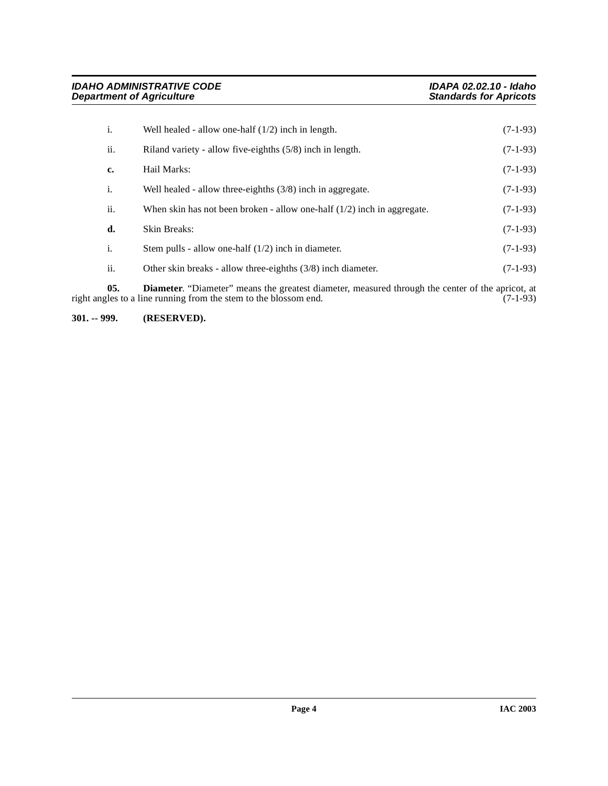| i.  | Well healed - allow one-half $(1/2)$ inch in length.                      | $(7-1-93)$ |
|-----|---------------------------------------------------------------------------|------------|
| ii. | Riland variety - allow five-eighths $(5/8)$ inch in length.               | $(7-1-93)$ |
| c.  | Hail Marks:                                                               | $(7-1-93)$ |
| i.  | Well healed - allow three-eighths $(3/8)$ inch in aggregate.              | $(7-1-93)$ |
| ii. | When skin has not been broken - allow one-half $(1/2)$ inch in aggregate. | $(7-1-93)$ |
| d.  | Skin Breaks:                                                              | $(7-1-93)$ |
| i.  | Stem pulls - allow one-half $(1/2)$ inch in diameter.                     | $(7-1-93)$ |
| ii. | Other skin breaks - allow three-eighths $(3/8)$ inch diameter.            | $(7-1-93)$ |

<span id="page-3-1"></span>**05. Diameter**. "Diameter" means the greatest diameter, measured through the center of the apricot, at right angles to a line running from the stem to the blossom end. (7-1-93)

<span id="page-3-0"></span>**301. -- 999. (RESERVED).**